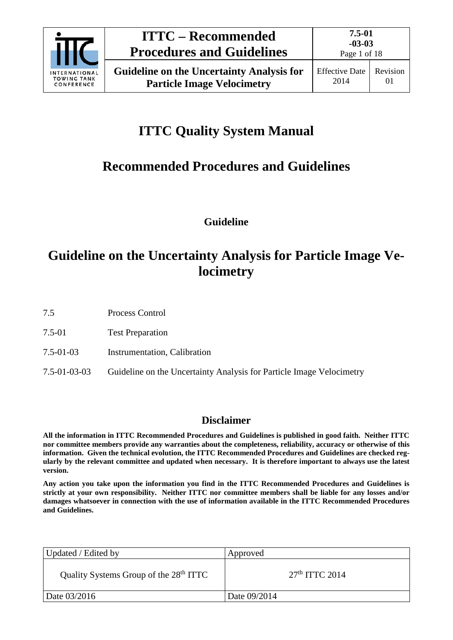

# **ITTC Quality System Manual**

## **Recommended Procedures and Guidelines**

**Guideline**

## **Guideline on the Uncertainty Analysis for Particle Image Velocimetry**

7.5 Process Control

- 7.5-01 Test Preparation
- 7.5-01-03 Instrumentation, Calibration
- 7.5-01-03-03 Guideline on the Uncertainty Analysis for Particle Image Velocimetry

### **Disclaimer**

**All the information in ITTC Recommended Procedures and Guidelines is published in good faith. Neither ITTC nor committee members provide any warranties about the completeness, reliability, accuracy or otherwise of this information. Given the technical evolution, the ITTC Recommended Procedures and Guidelines are checked regularly by the relevant committee and updated when necessary. It is therefore important to always use the latest version.**

**Any action you take upon the information you find in the ITTC Recommended Procedures and Guidelines is strictly at your own responsibility. Neither ITTC nor committee members shall be liable for any losses and/or damages whatsoever in connection with the use of information available in the ITTC Recommended Procedures and Guidelines.**

| Updated / Edited by                                | Approved         |
|----------------------------------------------------|------------------|
| Quality Systems Group of the 28 <sup>th</sup> ITTC | $27th$ ITTC 2014 |
| Date 03/2016                                       | Date 09/2014     |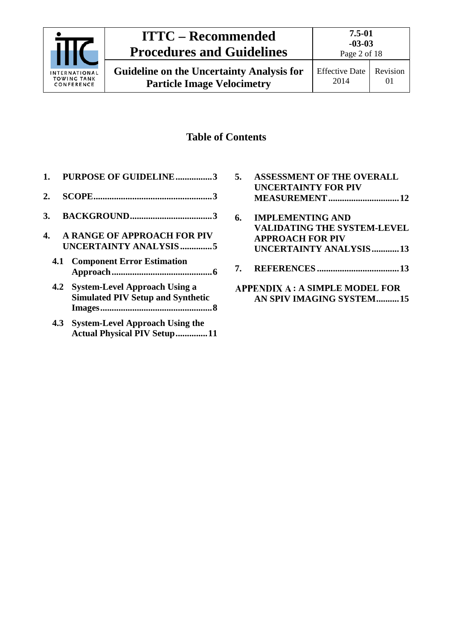

### **Table of Contents**

- **1. [PURPOSE OF GUIDELINE................3](#page-2-0) 2. [SCOPE....................................................3](#page-2-1) 3. [BACKGROUND....................................3](#page-2-2)**
- **4. [A RANGE OF APPROACH FOR PIV](#page-4-0)  [UNCERTAINTY ANALYSIS..............5](#page-4-0)**
	- **4.1 [Component Error Estimation](#page-5-0)  [Approach............................................6](#page-5-0)**
	- **4.2 [System-Level Approach Using a](#page-7-0)  [Simulated PIV Setup and Synthetic](#page-7-0)  [Images.................................................8](#page-7-0)**
	- **4.3 [System-Level Approach Using the](#page-10-0)  Actual [Physical PIV Setup..............11](#page-10-0)**
- **5. [ASSESSMENT OF THE OVERALL](#page-11-0)  [UNCERTAINTY FOR PIV](#page-11-0)  [MEASUREMENT...............................12](#page-11-0) 6. [IMPLEMENTING AND](#page-12-0)  [VALIDATING THE SYSTEM-LEVEL](#page-12-0)  [APPROACH FOR PIV](#page-12-0)  [UNCERTAINTY ANALYSIS............13](#page-12-0)**
- **7. REFERENCES [....................................13](#page-12-1)**
- **[: A SIMPLE MODEL FOR](#page-14-0)  [AN SPIV IMAGING SYSTEM..........15](#page-14-0)**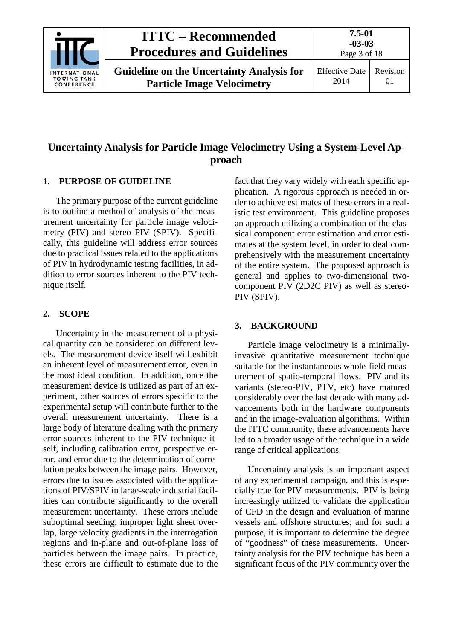

## **Uncertainty Analysis for Particle Image Velocimetry Using a System-Level Approach**

### <span id="page-2-0"></span>**1. PURPOSE OF GUIDELINE**

The primary purpose of the current guideline is to outline a method of analysis of the measurement uncertainty for particle image velocimetry (PIV) and stereo PIV (SPIV). Specifically, this guideline will address error sources due to practical issues related to the applications of PIV in hydrodynamic testing facilities, in addition to error sources inherent to the PIV technique itself.

### <span id="page-2-1"></span>**2. SCOPE**

Uncertainty in the measurement of a physical quantity can be considered on different levels. The measurement device itself will exhibit an inherent level of measurement error, even in the most ideal condition. In addition, once the measurement device is utilized as part of an experiment, other sources of errors specific to the experimental setup will contribute further to the overall measurement uncertainty. There is a large body of literature dealing with the primary error sources inherent to the PIV technique itself, including calibration error, perspective error, and error due to the determination of correlation peaks between the image pairs. However, errors due to issues associated with the applications of PIV/SPIV in large-scale industrial facilities can contribute significantly to the overall measurement uncertainty. These errors include suboptimal seeding, improper light sheet overlap, large velocity gradients in the interrogation regions and in-plane and out-of-plane loss of particles between the image pairs. In practice, these errors are difficult to estimate due to the fact that they vary widely with each specific application. A rigorous approach is needed in order to achieve estimates of these errors in a realistic test environment. This guideline proposes an approach utilizing a combination of the classical component error estimation and error estimates at the system level, in order to deal comprehensively with the measurement uncertainty of the entire system. The proposed approach is general and applies to two-dimensional twocomponent PIV (2D2C PIV) as well as stereo-PIV (SPIV).

### <span id="page-2-2"></span>**3. BACKGROUND**

Particle image velocimetry is a minimallyinvasive quantitative measurement technique suitable for the instantaneous whole-field measurement of spatio-temporal flows. PIV and its variants (stereo-PIV, PTV, etc) have matured considerably over the last decade with many advancements both in the hardware components and in the image-evaluation algorithms. Within the ITTC community, these advancements have led to a broader usage of the technique in a wide range of critical applications.

Uncertainty analysis is an important aspect of any experimental campaign, and this is especially true for PIV measurements. PIV is being increasingly utilized to validate the application of CFD in the design and evaluation of marine vessels and offshore structures; and for such a purpose, it is important to determine the degree of "goodness" of these measurements. Uncertainty analysis for the PIV technique has been a significant focus of the PIV community over the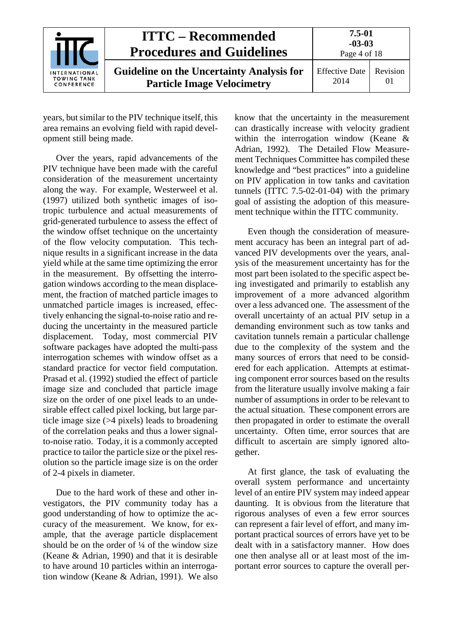|                                                          | <b>ITTC – Recommended</b><br><b>Procedures and Guidelines</b>                         | 7.5-01<br>$-03-03$<br>Page 4 of 18 |                |
|----------------------------------------------------------|---------------------------------------------------------------------------------------|------------------------------------|----------------|
| <b>INTERNATIONAL</b><br><b>TOWING TANK</b><br>CONFERENCE | <b>Guideline on the Uncertainty Analysis for</b><br><b>Particle Image Velocimetry</b> | <b>Effective Date</b><br>2014      | Revision<br>01 |

years, but similar to the PIV technique itself, this area remains an evolving field with rapid development still being made.

Over the years, rapid advancements of the PIV technique have been made with the careful consideration of the measurement uncertainty along the way. For example, Westerweel et al. (1997) utilized both synthetic images of isotropic turbulence and actual measurements of grid-generated turbulence to assess the effect of the window offset technique on the uncertainty of the flow velocity computation. This technique results in a significant increase in the data yield while at the same time optimizing the error in the measurement. By offsetting the interrogation windows according to the mean displacement, the fraction of matched particle images to unmatched particle images is increased, effectively enhancing the signal-to-noise ratio and reducing the uncertainty in the measured particle displacement. Today, most commercial PIV software packages have adopted the multi-pass interrogation schemes with window offset as a standard practice for vector field computation. Prasad et al. (1992) studied the effect of particle image size and concluded that particle image size on the order of one pixel leads to an undesirable effect called pixel locking, but large particle image size (>4 pixels) leads to broadening of the correlation peaks and thus a lower signalto-noise ratio. Today, it is a commonly accepted practice to tailor the particle size or the pixel resolution so the particle image size is on the order of 2-4 pixels in diameter.

Due to the hard work of these and other investigators, the PIV community today has a good understanding of how to optimize the accuracy of the measurement. We know, for example, that the average particle displacement should be on the order of  $\frac{1}{4}$  of the window size (Keane & Adrian, 1990) and that it is desirable to have around 10 particles within an interrogation window (Keane & Adrian, 1991). We also

know that the uncertainty in the measurement can drastically increase with velocity gradient within the interrogation window (Keane & Adrian, 1992). The Detailed Flow Measurement Techniques Committee has compiled these knowledge and "best practices" into a guideline on PIV application in tow tanks and cavitation tunnels (ITTC 7.5-02-01-04) with the primary goal of assisting the adoption of this measurement technique within the ITTC community.

Even though the consideration of measurement accuracy has been an integral part of advanced PIV developments over the years, analysis of the measurement uncertainty has for the most part been isolated to the specific aspect being investigated and primarily to establish any improvement of a more advanced algorithm over a less advanced one. The assessment of the overall uncertainty of an actual PIV setup in a demanding environment such as tow tanks and cavitation tunnels remain a particular challenge due to the complexity of the system and the many sources of errors that need to be considered for each application. Attempts at estimating component error sources based on the results from the literature usually involve making a fair number of assumptions in order to be relevant to the actual situation. These component errors are then propagated in order to estimate the overall uncertainty. Often time, error sources that are difficult to ascertain are simply ignored altogether.

At first glance, the task of evaluating the overall system performance and uncertainty level of an entire PIV system may indeed appear daunting. It is obvious from the literature that rigorous analyses of even a few error sources can represent a fair level of effort, and many important practical sources of errors have yet to be dealt with in a satisfactory manner. How does one then analyse all or at least most of the important error sources to capture the overall per-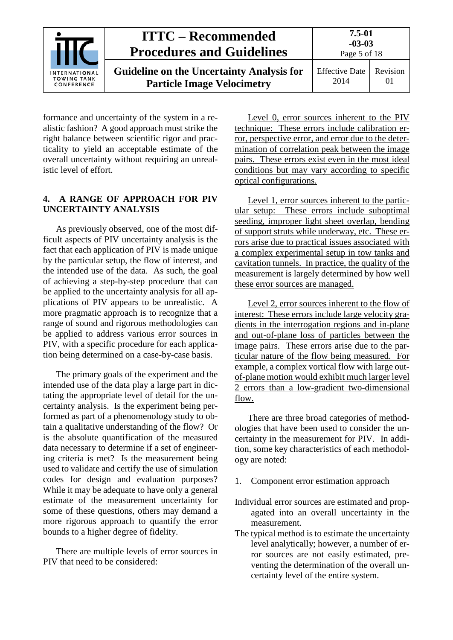|                                                         | <b>ITTC – Recommended</b><br><b>Procedures and Guidelines</b>                         | $7.5 - 01$<br>$-03-03$<br>Page 5 of 18 |                      |
|---------------------------------------------------------|---------------------------------------------------------------------------------------|----------------------------------------|----------------------|
| <b>NTERNATIONAL</b><br><b>TOWING TANK</b><br>CONFERENCE | <b>Guideline on the Uncertainty Analysis for</b><br><b>Particle Image Velocimetry</b> | <b>Effective Date</b><br>2014          | Revision<br>$\Omega$ |

formance and uncertainty of the system in a realistic fashion? A good approach must strike the right balance between scientific rigor and practicality to yield an acceptable estimate of the overall uncertainty without requiring an unrealistic level of effort.

#### <span id="page-4-0"></span>**4. A RANGE OF APPROACH FOR PIV UNCERTAINTY ANALYSIS**

As previously observed, one of the most difficult aspects of PIV uncertainty analysis is the fact that each application of PIV is made unique by the particular setup, the flow of interest, and the intended use of the data. As such, the goal of achieving a step-by-step procedure that can be applied to the uncertainty analysis for all applications of PIV appears to be unrealistic. A more pragmatic approach is to recognize that a range of sound and rigorous methodologies can be applied to address various error sources in PIV, with a specific procedure for each application being determined on a case-by-case basis.

The primary goals of the experiment and the intended use of the data play a large part in dictating the appropriate level of detail for the uncertainty analysis. Is the experiment being performed as part of a phenomenology study to obtain a qualitative understanding of the flow? Or is the absolute quantification of the measured data necessary to determine if a set of engineering criteria is met? Is the measurement being used to validate and certify the use of simulation codes for design and evaluation purposes? While it may be adequate to have only a general estimate of the measurement uncertainty for some of these questions, others may demand a more rigorous approach to quantify the error bounds to a higher degree of fidelity.

There are multiple levels of error sources in PIV that need to be considered:

Level 0, error sources inherent to the PIV technique:These errors include calibration error, perspective error, and error due to the determination of correlation peak between the image pairs. These errors exist even in the most ideal conditions but may vary according to specific optical configurations.

Level 1, error sources inherent to the particular setup: These errors include suboptimal seeding, improper light sheet overlap, bending of support struts while underway, etc. These errors arise due to practical issues associated with a complex experimental setup in tow tanks and cavitation tunnels. In practice, the quality of the measurement is largely determined by how well these error sources are managed.

Level 2, error sources inherent to the flow of interest: These errors include large velocity gradients in the interrogation regions and in-plane and out-of-plane loss of particles between the image pairs. These errors arise due to the particular nature of the flow being measured. For example, a complex vortical flow with large outof-plane motion would exhibit much larger level 2 errors than a low-gradient two-dimensional flow.

There are three broad categories of methodologies that have been used to consider the uncertainty in the measurement for PIV. In addition, some key characteristics of each methodology are noted:

- 1. Component error estimation approach
- Individual error sources are estimated and propagated into an overall uncertainty in the measurement.
- The typical method is to estimate the uncertainty level analytically; however, a number of error sources are not easily estimated, preventing the determination of the overall uncertainty level of the entire system.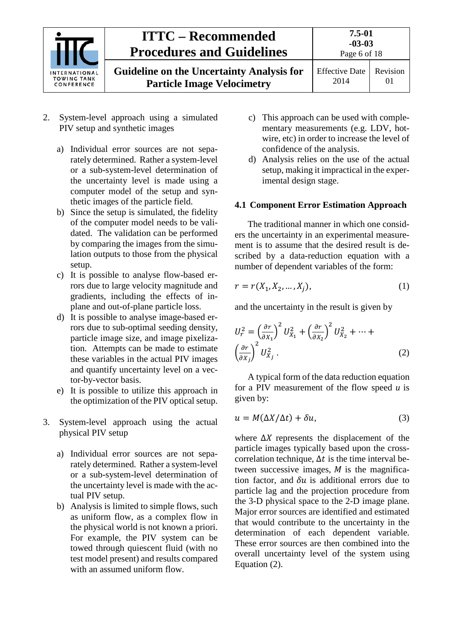

- 2. System-level approach using a simulated PIV setup and synthetic images
	- a) Individual error sources are not separately determined. Rather a system-level or a sub-system-level determination of the uncertainty level is made using a computer model of the setup and synthetic images of the particle field.
	- b) Since the setup is simulated, the fidelity of the computer model needs to be validated. The validation can be performed by comparing the images from the simulation outputs to those from the physical setup.
	- c) It is possible to analyse flow-based errors due to large velocity magnitude and gradients, including the effects of inplane and out-of-plane particle loss.
	- d) It is possible to analyse image-based errors due to sub-optimal seeding density, particle image size, and image pixelization. Attempts can be made to estimate these variables in the actual PIV images and quantify uncertainty level on a vector-by-vector basis.
	- e) It is possible to utilize this approach in the optimization of the PIV optical setup.
- 3. System-level approach using the actual physical PIV setup
	- a) Individual error sources are not separately determined. Rather a system-level or a sub-system-level determination of the uncertainty level is made with the actual PIV setup.
	- b) Analysis is limited to simple flows, such as uniform flow, as a complex flow in the physical world is not known a priori. For example, the PIV system can be towed through quiescent fluid (with no test model present) and results compared with an assumed uniform flow.
- c) This approach can be used with complementary measurements (e.g. LDV, hotwire, etc) in order to increase the level of confidence of the analysis.
- d) Analysis relies on the use of the actual setup, making it impractical in the experimental design stage.

#### <span id="page-5-0"></span>**4.1 Component Error Estimation Approach**

The traditional manner in which one considers the uncertainty in an experimental measurement is to assume that the desired result is described by a data-reduction equation with a number of dependent variables of the form:

$$
r = r(X_1, X_2, ..., X_j),
$$
 (1)

and the uncertainty in the result is given by

$$
U_r^2 = \left(\frac{\partial r}{\partial x_1}\right)^2 U_{X_1}^2 + \left(\frac{\partial r}{\partial x_2}\right)^2 U_{X_2}^2 + \dots + \left(\frac{\partial r}{\partial x_j}\right)^2 U_{X_j}^2.
$$
\n(2)

A typical form of the data reduction equation for a PIV measurement of the flow speed *u* is given by:

$$
u = M(\Delta X/\Delta t) + \delta u,\tag{3}
$$

where  $\Delta X$  represents the displacement of the particle images typically based upon the crosscorrelation technique,  $\Delta t$  is the time interval between successive images,  $M$  is the magnification factor, and  $\delta u$  is additional errors due to particle lag and the projection procedure from the 3-D physical space to the 2-D image plane. Major error sources are identified and estimated that would contribute to the uncertainty in the determination of each dependent variable. These error sources are then combined into the overall uncertainty level of the system using Equation (2).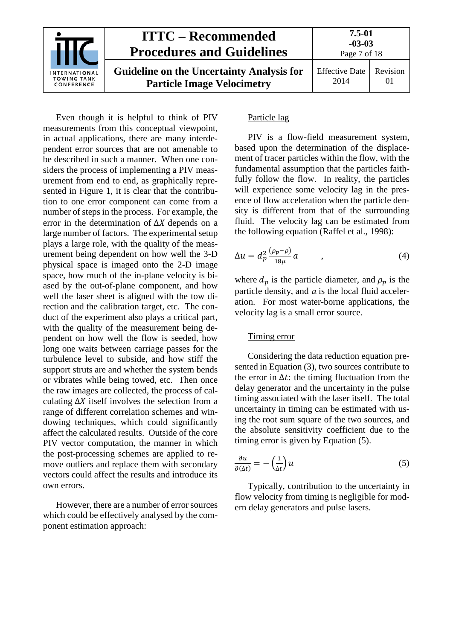

Even though it is helpful to think of PIV measurements from this conceptual viewpoint, in actual applications, there are many interdependent error sources that are not amenable to be described in such a manner. When one considers the process of implementing a PIV measurement from end to end, as graphically represented in Figure 1, it is clear that the contribution to one error component can come from a number of steps in the process. For example, the error in the determination of  $\Delta X$  depends on a large number of factors. The experimental setup plays a large role, with the quality of the measurement being dependent on how well the 3-D physical space is imaged onto the 2-D image space, how much of the in-plane velocity is biased by the out-of-plane component, and how well the laser sheet is aligned with the tow direction and the calibration target, etc. The conduct of the experiment also plays a critical part, with the quality of the measurement being dependent on how well the flow is seeded, how long one waits between carriage passes for the turbulence level to subside, and how stiff the support struts are and whether the system bends or vibrates while being towed, etc. Then once the raw images are collected, the process of calculating  $\Delta X$  itself involves the selection from a range of different correlation schemes and windowing techniques, which could significantly affect the calculated results. Outside of the core PIV vector computation, the manner in which the post-processing schemes are applied to remove outliers and replace them with secondary vectors could affect the results and introduce its own errors.

However, there are a number of error sources which could be effectively analysed by the component estimation approach:

#### Particle lag

PIV is a flow-field measurement system, based upon the determination of the displacement of tracer particles within the flow, with the fundamental assumption that the particles faithfully follow the flow. In reality, the particles will experience some velocity lag in the presence of flow acceleration when the particle density is different from that of the surrounding fluid. The velocity lag can be estimated from the following equation (Raffel et al., 1998):

$$
\Delta u = d_p^2 \frac{(\rho_p - \rho)}{18\mu} a \qquad , \qquad (4)
$$

where  $d_p$  is the particle diameter, and  $\rho_p$  is the particle density, and *a* is the local fluid acceleration. For most water-borne applications, the velocity lag is a small error source.

#### Timing error

Considering the data reduction equation presented in Equation (3), two sources contribute to the error in  $\Delta t$ : the timing fluctuation from the delay generator and the uncertainty in the pulse timing associated with the laser itself. The total uncertainty in timing can be estimated with using the root sum square of the two sources, and the absolute sensitivity coefficient due to the timing error is given by Equation (5).

$$
\frac{\partial u}{\partial(\Delta t)} = -\left(\frac{1}{\Delta t}\right)u\tag{5}
$$

Typically, contribution to the uncertainty in flow velocity from timing is negligible for modern delay generators and pulse lasers.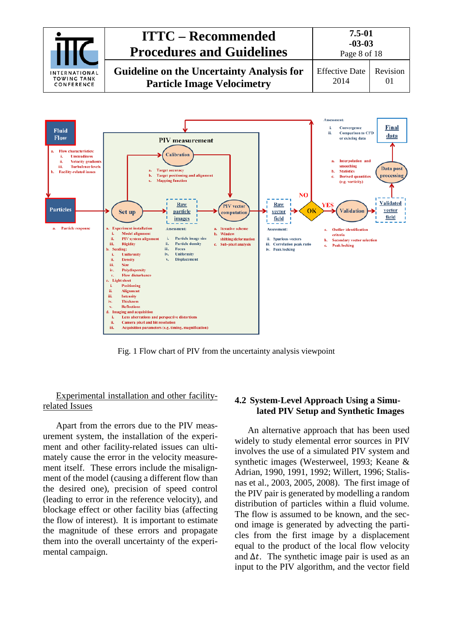



Fig. 1 Flow chart of PIV from the uncertainty analysis viewpoint

#### Experimental installation and other facilityrelated Issues

Apart from the errors due to the PIV measurement system, the installation of the experiment and other facility-related issues can ultimately cause the error in the velocity measurement itself. These errors include the misalignment of the model (causing a different flow than the desired one), precision of speed control (leading to error in the reference velocity), and blockage effect or other facility bias (affecting the flow of interest). It is important to estimate the magnitude of these errors and propagate them into the overall uncertainty of the experimental campaign.

#### <span id="page-7-0"></span>**4.2 System-Level Approach Using a Simulated PIV Setup and Synthetic Images**

An alternative approach that has been used widely to study elemental error sources in PIV involves the use of a simulated PIV system and synthetic images (Westerweel, 1993; Keane & Adrian, 1990, 1991, 1992; Willert, 1996; Stalisnas et al., 2003, 2005, 2008). The first image of the PIV pair is generated by modelling a random distribution of particles within a fluid volume. The flow is assumed to be known, and the second image is generated by advecting the particles from the first image by a displacement equal to the product of the local flow velocity and  $\Delta t$ . The synthetic image pair is used as an input to the PIV algorithm, and the vector field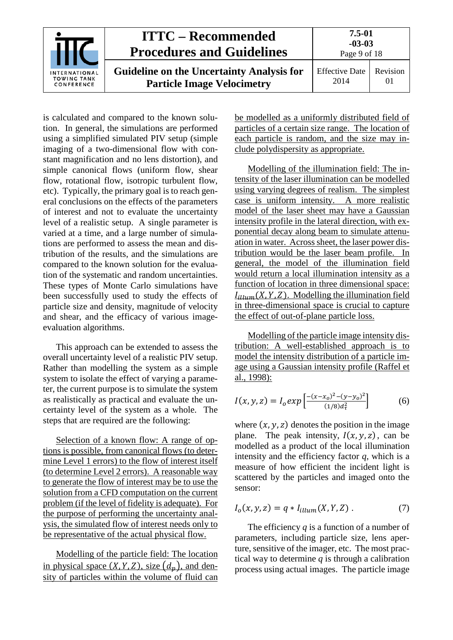

is calculated and compared to the known solution. In general, the simulations are performed using a simplified simulated PIV setup (simple imaging of a two-dimensional flow with constant magnification and no lens distortion), and simple canonical flows (uniform flow, shear flow, rotational flow, isotropic turbulent flow, etc). Typically, the primary goal is to reach general conclusions on the effects of the parameters of interest and not to evaluate the uncertainty level of a realistic setup. A single parameter is varied at a time, and a large number of simulations are performed to assess the mean and distribution of the results, and the simulations are compared to the known solution for the evaluation of the systematic and random uncertainties. These types of Monte Carlo simulations have been successfully used to study the effects of particle size and density, magnitude of velocity and shear, and the efficacy of various imageevaluation algorithms.

This approach can be extended to assess the overall uncertainty level of a realistic PIV setup. Rather than modelling the system as a simple system to isolate the effect of varying a parameter, the current purpose is to simulate the system as realistically as practical and evaluate the uncertainty level of the system as a whole. The steps that are required are the following:

Selection of a known flow: A range of options is possible, from canonical flows (to determine Level 1 errors) to the flow of interest itself (to determine Level 2 errors). A reasonable way to generate the flow of interest may be to use the solution from a CFD computation on the current problem (if the level of fidelity is adequate). For the purpose of performing the uncertainty analysis, the simulated flow of interest needs only to be representative of the actual physical flow.

Modelling of the particle field: The location in physical space  $(X, Y, Z)$ , size  $(d_n)$ , and density of particles within the volume of fluid can be modelled as a uniformly distributed field of particles of a certain size range. The location of each particle is random, and the size may include polydispersity as appropriate.

Modelling of the illumination field: The intensity of the laser illumination can be modelled using varying degrees of realism. The simplest case is uniform intensity. A more realistic model of the laser sheet may have a Gaussian intensity profile in the lateral direction, with exponential decay along beam to simulate attenuation in water. Across sheet, the laser power distribution would be the laser beam profile. In general, the model of the illumination field would return a local illumination intensity as a function of location in three dimensional space:  $I_{illum}(X, Y, Z)$ . Modelling the illumination field in three-dimensional space is crucial to capture the effect of out-of-plane particle loss.

Modelling of the particle image intensity distribution: A well-established approach is to model the intensity distribution of a particle image using a Gaussian intensity profile (Raffel et al., 1998):

$$
I(x, y, z) = I_0 exp \left[ \frac{-(x - x_0)^2 - (y - y_0)^2}{(1/8)d_\tau^2} \right]
$$
 (6)

where  $(x, y, z)$  denotes the position in the image plane. The peak intensity,  $I(x, y, z)$ , can be modelled as a product of the local illumination intensity and the efficiency factor *q*, which is a measure of how efficient the incident light is scattered by the particles and imaged onto the sensor:

$$
I_o(x, y, z) = q * I_{illum}(X, Y, Z) . \qquad (7)
$$

The efficiency *q* is a function of a number of parameters, including particle size, lens aperture, sensitive of the imager, etc. The most practical way to determine *q* is through a calibration process using actual images. The particle image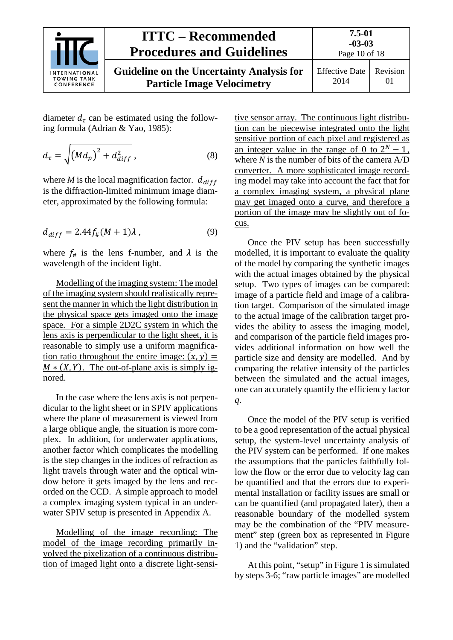

diameter  $d_{\tau}$  can be estimated using the following formula (Adrian & Yao, 1985):

$$
d_{\tau} = \sqrt{\left(Md_p\right)^2 + d_{diff}^2} \,,\tag{8}
$$

where *M* is the local magnification factor.  $d_{diff}$ is the diffraction-limited minimum image diameter, approximated by the following formula:

$$
d_{diff} = 2.44 f_{\#}(M+1)\lambda , \qquad (9)
$$

where  $f_{\#}$  is the lens f-number, and  $\lambda$  is the wavelength of the incident light.

Modelling of the imaging system: The model of the imaging system should realistically represent the manner in which the light distribution in the physical space gets imaged onto the image space. For a simple 2D2C system in which the lens axis is perpendicular to the light sheet, it is reasonable to simply use a uniform magnification ratio throughout the entire image:  $(x, y) =$  $M * (X, Y)$ . The out-of-plane axis is simply ignored.

In the case where the lens axis is not perpendicular to the light sheet or in SPIV applications where the plane of measurement is viewed from a large oblique angle, the situation is more complex. In addition, for underwater applications, another factor which complicates the modelling is the step changes in the indices of refraction as light travels through water and the optical window before it gets imaged by the lens and recorded on the CCD. A simple approach to model a complex imaging system typical in an underwater SPIV setup is presented in Appendix A.

Modelling of the image recording: The model of the image recording primarily involved the pixelization of a continuous distribution of imaged light onto a discrete light-sensitive sensor array. The continuous light distribution can be piecewise integrated onto the light sensitive portion of each pixel and registered as an integer value in the range of 0 to  $2^N - 1$ . where *N* is the number of bits of the camera A/D converter. A more sophisticated image recording model may take into account the fact that for a complex imaging system, a physical plane may get imaged onto a curve, and therefore a portion of the image may be slightly out of focus.

Once the PIV setup has been successfully modelled, it is important to evaluate the quality of the model by comparing the synthetic images with the actual images obtained by the physical setup. Two types of images can be compared: image of a particle field and image of a calibration target. Comparison of the simulated image to the actual image of the calibration target provides the ability to assess the imaging model, and comparison of the particle field images provides additional information on how well the particle size and density are modelled. And by comparing the relative intensity of the particles between the simulated and the actual images, one can accurately quantify the efficiency factor *q*.

Once the model of the PIV setup is verified to be a good representation of the actual physical setup, the system-level uncertainty analysis of the PIV system can be performed. If one makes the assumptions that the particles faithfully follow the flow or the error due to velocity lag can be quantified and that the errors due to experimental installation or facility issues are small or can be quantified (and propagated later), then a reasonable boundary of the modelled system may be the combination of the "PIV measurement" step (green box as represented in Figure 1) and the "validation" step.

At this point, "setup" in Figure 1 is simulated by steps 3-6; "raw particle images" are modelled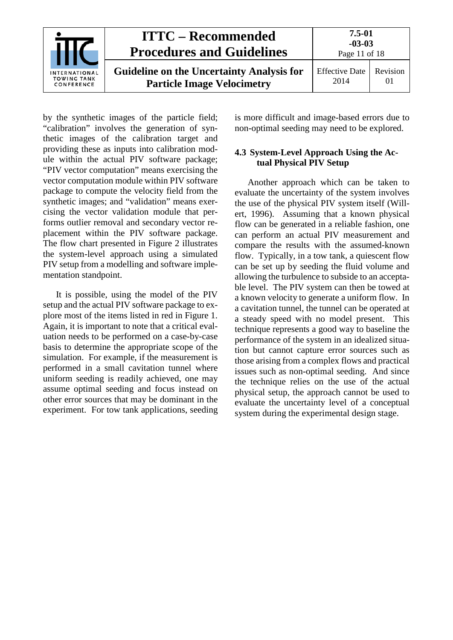

by the synthetic images of the particle field; "calibration" involves the generation of synthetic images of the calibration target and providing these as inputs into calibration module within the actual PIV software package; "PIV vector computation" means exercising the vector computation module within PIV software package to compute the velocity field from the synthetic images; and "validation" means exercising the vector validation module that performs outlier removal and secondary vector replacement within the PIV software package. The flow chart presented in Figure 2 illustrates the system-level approach using a simulated PIV setup from a modelling and software implementation standpoint.

It is possible, using the model of the PIV setup and the actual PIV software package to explore most of the items listed in red in Figure 1. Again, it is important to note that a critical evaluation needs to be performed on a case-by-case basis to determine the appropriate scope of the simulation. For example, if the measurement is performed in a small cavitation tunnel where uniform seeding is readily achieved, one may assume optimal seeding and focus instead on other error sources that may be dominant in the experiment. For tow tank applications, seeding is more difficult and image-based errors due to non-optimal seeding may need to be explored.

#### <span id="page-10-0"></span>**4.3 System-Level Approach Using the Actual Physical PIV Setup**

Another approach which can be taken to evaluate the uncertainty of the system involves the use of the physical PIV system itself (Willert, 1996). Assuming that a known physical flow can be generated in a reliable fashion, one can perform an actual PIV measurement and compare the results with the assumed-known flow. Typically, in a tow tank, a quiescent flow can be set up by seeding the fluid volume and allowing the turbulence to subside to an acceptable level. The PIV system can then be towed at a known velocity to generate a uniform flow. In a cavitation tunnel, the tunnel can be operated at a steady speed with no model present. This technique represents a good way to baseline the performance of the system in an idealized situation but cannot capture error sources such as those arising from a complex flows and practical issues such as non-optimal seeding. And since the technique relies on the use of the actual physical setup, the approach cannot be used to evaluate the uncertainty level of a conceptual system during the experimental design stage.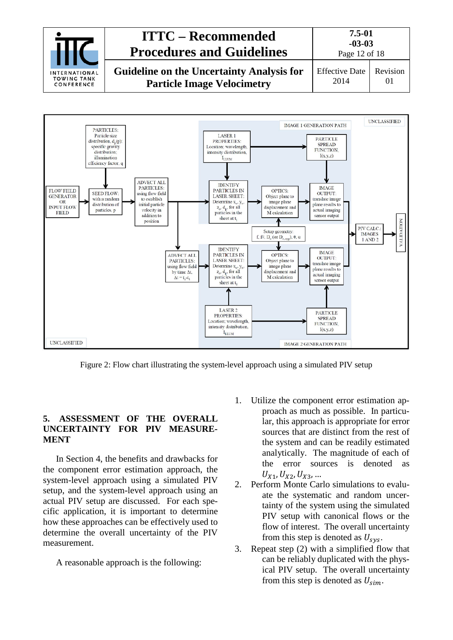



Figure 2: Flow chart illustrating the system-level approach using a simulated PIV setup

#### <span id="page-11-0"></span>**5. ASSESSMENT OF THE OVERALL UNCERTAINTY FOR PIV MEASURE-MENT**

In Section 4, the benefits and drawbacks for the component error estimation approach, the system-level approach using a simulated PIV setup, and the system-level approach using an actual PIV setup are discussed. For each specific application, it is important to determine how these approaches can be effectively used to determine the overall uncertainty of the PIV measurement.

A reasonable approach is the following:

- 1. Utilize the component error estimation approach as much as possible. In particular, this approach is appropriate for error sources that are distinct from the rest of the system and can be readily estimated analytically. The magnitude of each of the error sources is denoted as  $U_{X1}, U_{X2}, U_{X3}, ...$
- 2. Perform Monte Carlo simulations to evaluate the systematic and random uncertainty of the system using the simulated PIV setup with canonical flows or the flow of interest. The overall uncertainty from this step is denoted as  $U_{\rm{sys}}$ .
- 3. Repeat step (2) with a simplified flow that can be reliably duplicated with the physical PIV setup. The overall uncertainty from this step is denoted as  $U_{sim}$ .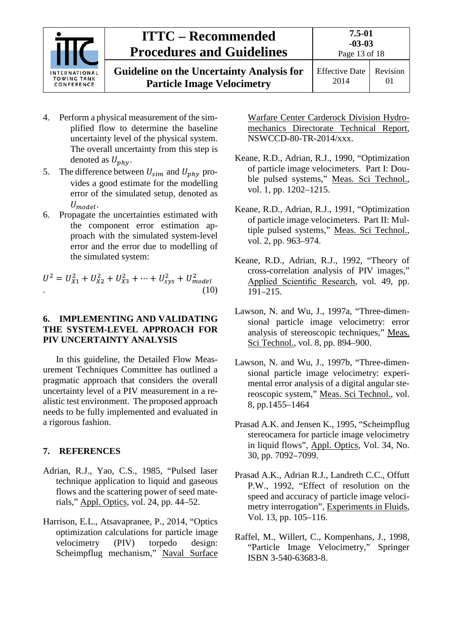

**Guideline on the Uncertainty Analysis for Particle Image Velocimetry**

- 4. Perform a physical measurement of the simplified flow to determine the baseline uncertainty level of the physical system. The overall uncertainty from this step is denoted as  $U_{phy}$ .
- 5. The difference between  $U_{sim}$  and  $U_{phy}$  provides a good estimate for the modelling error of the simulated setup, denoted as  $U_{model}$ .
- 6. Propagate the uncertainties estimated with the component error estimation approach with the simulated system-level error and the error due to modelling of the simulated system:

 $U^2 = U_{X1}^2 + U_{X2}^2 + U_{X3}^2 + \dots + U_{sys}^2 + U_{mode}^2$ .  $(10)$ 

### <span id="page-12-0"></span>**6. IMPLEMENTING AND VALIDATING THE SYSTEM-LEVEL APPROACH FOR PIV UNCERTAINTY ANALYSIS**

In this guideline, the Detailed Flow Measurement Techniques Committee has outlined a pragmatic approach that considers the overall uncertainty level of a PIV measurement in a realistic test environment. The proposed approach needs to be fully implemented and evaluated in a rigorous fashion.

### <span id="page-12-1"></span>**7. REFERENCES**

- Adrian, R.J., Yao, C.S., 1985, "Pulsed laser technique application to liquid and gaseous flows and the scattering power of seed materials," Appl. Optics, vol. 24, pp. 44–52.
- Harrison, E.L., Atsavapranee, P., 2014, "Optics optimization calculations for particle image velocimetry (PIV) torpedo design: Scheimpflug mechanism," Naval Surface

Warfare Center Carderock Division Hydromechanics Directorate Technical Report, NSWCCD-80-TR-2014/xxx.

- Keane, R.D., Adrian, R.J., 1990, "Optimization of particle image velocimeters. Part I: Double pulsed systems," Meas. Sci Technol., vol. 1, pp. 1202–1215.
- Keane, R.D., Adrian, R.J., 1991, "Optimization of particle image velocimeters. Part II: Multiple pulsed systems," Meas. Sci Technol., vol. 2, pp. 963–974.
- Keane, R.D., Adrian, R.J., 1992, "Theory of cross-correlation analysis of PIV images," Applied Scientific Research, vol. 49, pp. 191–215.
- Lawson, N. and Wu, J., 1997a, "Three-dimensional particle image velocimetry: error analysis of stereoscopic techniques," Meas. Sci Technol., vol. 8, pp. 894–900.
- Lawson, N. and Wu, J., 1997b, "Three-dimensional particle image velocimetry: experimental error analysis of a digital angular stereoscopic system," Meas. Sci Technol., vol. 8, pp.1455–1464
- Prasad A.K. and Jensen K., 1995, "Scheimpflug stereocamera for particle image velocimetry in liquid flows", Appl. Optics, Vol. 34, No. 30, pp. 7092–7099.
- Prasad A.K., Adrian R.J., Landreth C.C., Offutt P.W., 1992, "Effect of resolution on the speed and accuracy of particle image velocimetry interrogation", Experiments in Fluids, Vol. 13, pp. 105–116.
- Raffel, M., Willert, C., Kompenhans, J., 1998, "Particle Image Velocimetry," Springer ISBN 3-540-63683-8.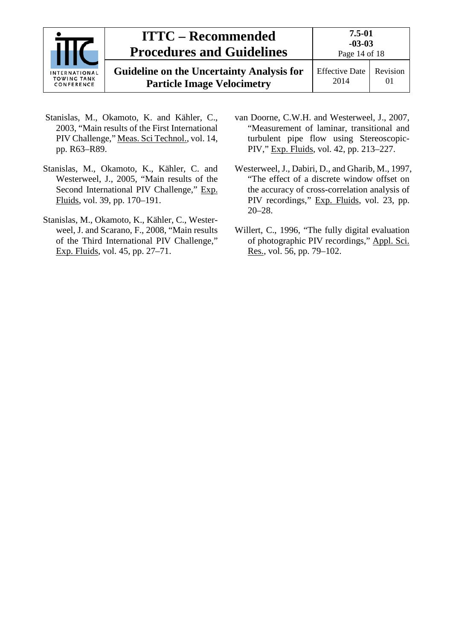

**Guideline on the Uncertainty Analysis for Particle Image Velocimetry**

Effective Date 2014 Revision 01

- Stanislas, M., Okamoto, K. and Kähler, C., 2003, "Main results of the First International PIV Challenge," Meas. Sci Technol., vol. 14, pp. R63–R89.
- Stanislas, M., Okamoto, K., Kähler, C. and Westerweel, J., 2005, "Main results of the Second International PIV Challenge," Exp. Fluids, vol. 39, pp. 170–191.
- Stanislas, M., Okamoto, K., Kähler, C., Westerweel, J. and Scarano, F., 2008, "Main results of the Third International PIV Challenge," Exp. Fluids, vol. 45, pp. 27–71.
- van Doorne, C.W.H. and Westerweel, J., 2007, "Measurement of laminar, transitional and turbulent pipe flow using Stereoscopic-PIV," Exp. Fluids, vol. 42, pp. 213–227.
- Westerweel, J., Dabiri, D., and Gharib, M., 1997, "The effect of a discrete window offset on the accuracy of cross-correlation analysis of PIV recordings," Exp. Fluids, vol. 23, pp. 20–28.
- Willert, C., 1996, "The fully digital evaluation of photographic PIV recordings," Appl. Sci. Res., vol. 56, pp. 79–102.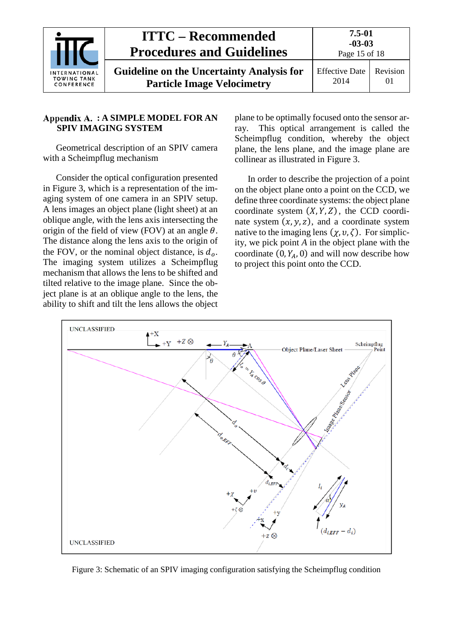|                                                          | <b>ITTC – Recommended</b><br><b>Procedures and Guidelines</b>                         | $7.5 - 01$<br>$-03-03$<br>Page 15 of 18 |                |
|----------------------------------------------------------|---------------------------------------------------------------------------------------|-----------------------------------------|----------------|
| <b>INTERNATIONAL</b><br><b>TOWING TANK</b><br>CONFERENCE | <b>Guideline on the Uncertainty Analysis for</b><br><b>Particle Image Velocimetry</b> | <b>Effective Date</b><br>2014           | Revision<br>01 |

#### <span id="page-14-0"></span>**: A SIMPLE MODEL FOR AN SPIV IMAGING SYSTEM**

Geometrical description of an SPIV camera with a Scheimpflug mechanism

Consider the optical configuration presented in Figure 3, which is a representation of the imaging system of one camera in an SPIV setup. A lens images an object plane (light sheet) at an oblique angle, with the lens axis intersecting the origin of the field of view (FOV) at an angle  $\theta$ . The distance along the lens axis to the origin of the FOV, or the nominal object distance, is  $d<sub>o</sub>$ . The imaging system utilizes a Scheimpflug mechanism that allows the lens to be shifted and tilted relative to the image plane. Since the object plane is at an oblique angle to the lens, the ability to shift and tilt the lens allows the object plane to be optimally focused onto the sensor array. This optical arrangement is called the Scheimpflug condition, whereby the object plane, the lens plane, and the image plane are collinear as illustrated in Figure 3.

In order to describe the projection of a point on the object plane onto a point on the CCD, we define three coordinate systems: the object plane coordinate system  $(X, Y, Z)$ , the CCD coordinate system  $(x, y, z)$ , and a coordinate system native to the imaging lens  $(\chi, v, \zeta)$ . For simplicity, we pick point *A* in the object plane with the coordinate  $(0, Y_A, 0)$  and will now describe how to project this point onto the CCD.



Figure 3: Schematic of an SPIV imaging configuration satisfying the Scheimpflug condition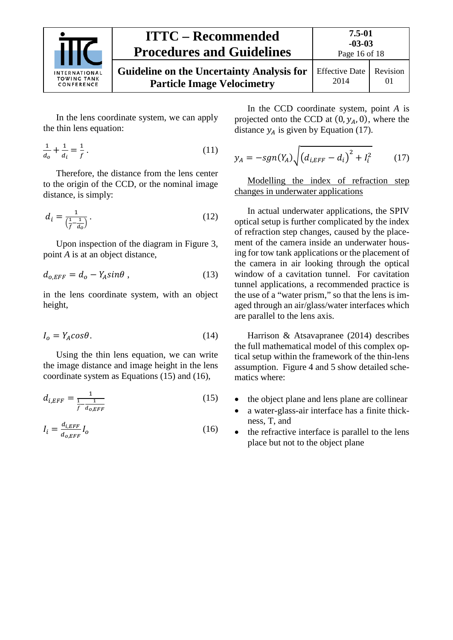

#### **ITTC – Recommended Procedures and Guidelines 7.5-01 -03-03** Page 16 of 18 **Guideline on the Uncertainty Analysis for Particle Image Velocimetry** Effective Date 2014 Revision 01

In the lens coordinate system, we can apply the thin lens equation:

$$
\frac{1}{d_o} + \frac{1}{d_i} = \frac{1}{f} \,. \tag{11}
$$

Therefore, the distance from the lens center to the origin of the CCD, or the nominal image distance, is simply:

$$
d_i = \frac{1}{\left(\frac{1}{f} - \frac{1}{d_0}\right)}\tag{12}
$$

Upon inspection of the diagram in Figure 3, point *A* is at an object distance,

$$
d_{o,EFF} = d_o - Y_A sin\theta , \qquad (13)
$$

in the lens coordinate system, with an object height,

$$
I_o = Y_A \cos \theta. \tag{14}
$$

Using the thin lens equation, we can write the image distance and image height in the lens coordinate system as Equations (15) and (16),

$$
d_{i,EFF} = \frac{1}{\frac{1}{f} - \frac{1}{d_{0,EFF}}} \tag{15}
$$

$$
I_i = \frac{d_{i,EFF}}{d_{o,EFF}} I_o \tag{16}
$$

In the CCD coordinate system, point *A* is projected onto the CCD at  $(0, y_A, 0)$ , where the distance  $y_A$  is given by Equation (17).

$$
y_A = -sgn(Y_A) \sqrt{(d_{i,EFF} - d_i)^2 + I_i^2} \tag{17}
$$

Modelling the index of refraction step changes in underwater applications

In actual underwater applications, the SPIV optical setup is further complicated by the index of refraction step changes, caused by the placement of the camera inside an underwater housing for tow tank applications or the placement of the camera in air looking through the optical window of a cavitation tunnel. For cavitation tunnel applications, a recommended practice is the use of a "water prism," so that the lens is imaged through an air/glass/water interfaces which are parallel to the lens axis.

Harrison & Atsavapranee (2014) describes the full mathematical model of this complex optical setup within the framework of the thin-lens assumption. Figure 4 and 5 show detailed schematics where:

- the object plane and lens plane are collinear
- a water-glass-air interface has a finite thickness, T, and
- the refractive interface is parallel to the lens place but not to the object plane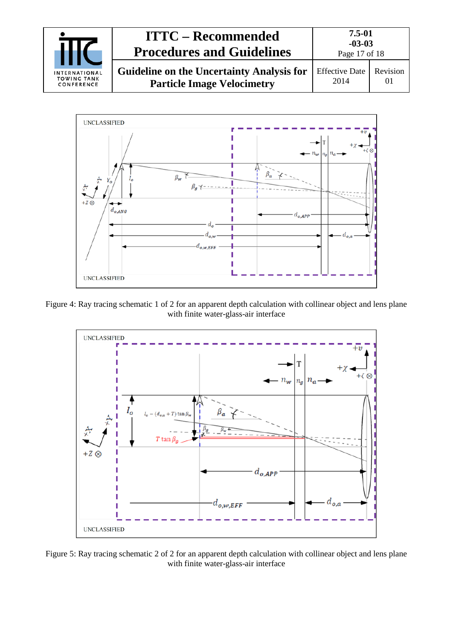



Figure 4: Ray tracing schematic 1 of 2 for an apparent depth calculation with collinear object and lens plane with finite water-glass-air interface



Figure 5: Ray tracing schematic 2 of 2 for an apparent depth calculation with collinear object and lens plane with finite water-glass-air interface